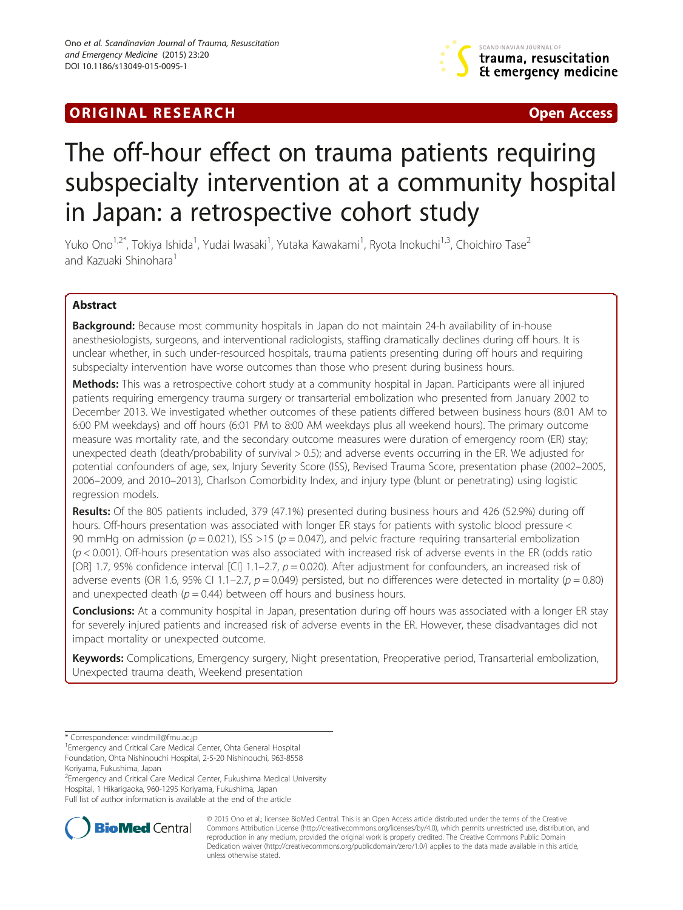# **ORIGINAL RESEARCH CONFIDENTIAL CONSUMING A LIGAN CONSUMING A LIGAN CONSUMING A LIGAN CONSUMING A LIGAN CONSUMING A LIGAN CONSUMING A LIGAN CONSUMING A LIGAN CONSUMING A LIGAN CONSUMING A LIGAN CONSUMING A LIGAN CONSUMING**



# The off-hour effect on trauma patients requiring subspecialty intervention at a community hospital in Japan: a retrospective cohort study

Yuko Ono<sup>1,2\*</sup>, Tokiya Ishida<sup>1</sup>, Yudai Iwasaki<sup>1</sup>, Yutaka Kawakami<sup>1</sup>, Ryota Inokuchi<sup>1,3</sup>, Choichiro Tase<sup>2</sup> and Kazuaki Shinohara<sup>1</sup>

# Abstract

**Background:** Because most community hospitals in Japan do not maintain 24-h availability of in-house anesthesiologists, surgeons, and interventional radiologists, staffing dramatically declines during off hours. It is unclear whether, in such under-resourced hospitals, trauma patients presenting during off hours and requiring subspecialty intervention have worse outcomes than those who present during business hours.

Methods: This was a retrospective cohort study at a community hospital in Japan. Participants were all injured patients requiring emergency trauma surgery or transarterial embolization who presented from January 2002 to December 2013. We investigated whether outcomes of these patients differed between business hours (8:01 AM to 6:00 PM weekdays) and off hours (6:01 PM to 8:00 AM weekdays plus all weekend hours). The primary outcome measure was mortality rate, and the secondary outcome measures were duration of emergency room (ER) stay; unexpected death (death/probability of survival > 0.5); and adverse events occurring in the ER. We adjusted for potential confounders of age, sex, Injury Severity Score (ISS), Revised Trauma Score, presentation phase (2002–2005, 2006–2009, and 2010–2013), Charlson Comorbidity Index, and injury type (blunt or penetrating) using logistic regression models.

Results: Of the 805 patients included, 379 (47.1%) presented during business hours and 426 (52.9%) during off hours. Off-hours presentation was associated with longer ER stays for patients with systolic blood pressure < 90 mmHg on admission ( $p = 0.021$ ), ISS >15 ( $p = 0.047$ ), and pelvic fracture requiring transarterial embolization (p < 0.001). Off-hours presentation was also associated with increased risk of adverse events in the ER (odds ratio [OR] 1.7, 95% confidence interval [CI] 1.1–2.7,  $p = 0.020$ ). After adjustment for confounders, an increased risk of adverse events (OR 1.6, 95% CI 1.1–2.7,  $p = 0.049$ ) persisted, but no differences were detected in mortality ( $p = 0.80$ ) and unexpected death ( $p = 0.44$ ) between off hours and business hours.

**Conclusions:** At a community hospital in Japan, presentation during off hours was associated with a longer ER stay for severely injured patients and increased risk of adverse events in the ER. However, these disadvantages did not impact mortality or unexpected outcome.

Keywords: Complications, Emergency surgery, Night presentation, Preoperative period, Transarterial embolization, Unexpected trauma death, Weekend presentation

Koriyama, Fukushima, Japan

<sup>2</sup> Emergency and Critical Care Medical Center, Fukushima Medical University Hospital, 1 Hikarigaoka, 960-1295 Koriyama, Fukushima, Japan

Full list of author information is available at the end of the article



© 2015 Ono et al.; licensee BioMed Central. This is an Open Access article distributed under the terms of the Creative Commons Attribution License [\(http://creativecommons.org/licenses/by/4.0\)](http://creativecommons.org/licenses/by/4.0), which permits unrestricted use, distribution, and reproduction in any medium, provided the original work is properly credited. The Creative Commons Public Domain Dedication waiver [\(http://creativecommons.org/publicdomain/zero/1.0/](http://creativecommons.org/publicdomain/zero/1.0/)) applies to the data made available in this article, unless otherwise stated.

<sup>\*</sup> Correspondence: [windmill@fmu.ac.jp](mailto:windmill@fmu.ac.jp) <sup>1</sup>

Emergency and Critical Care Medical Center, Ohta General Hospital Foundation, Ohta Nishinouchi Hospital, 2-5-20 Nishinouchi, 963-8558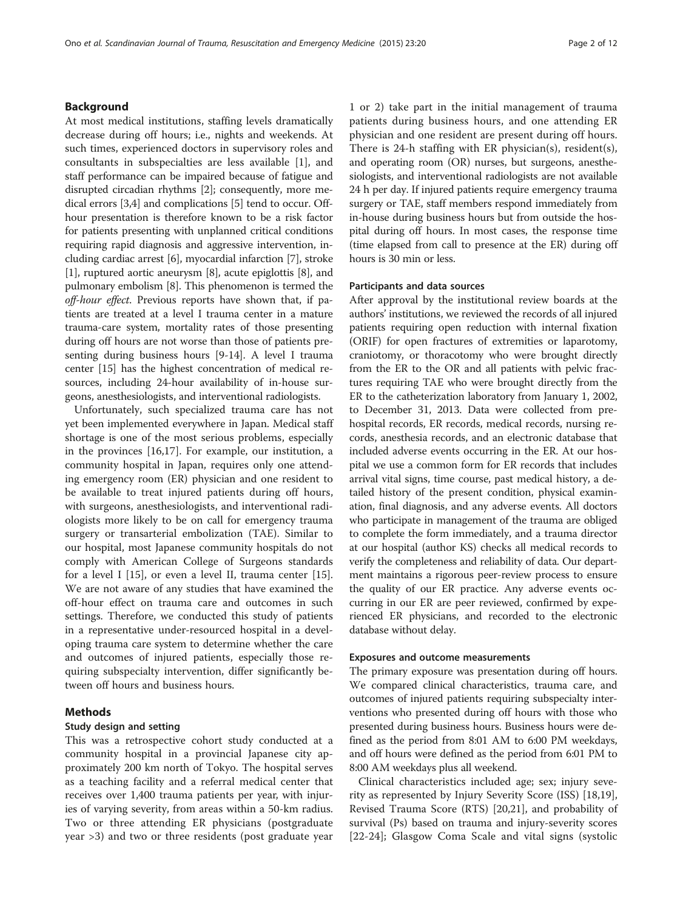# Background

At most medical institutions, staffing levels dramatically decrease during off hours; i.e., nights and weekends. At such times, experienced doctors in supervisory roles and consultants in subspecialties are less available [[1](#page-10-0)], and staff performance can be impaired because of fatigue and disrupted circadian rhythms [\[2\]](#page-10-0); consequently, more medical errors [[3,4](#page-10-0)] and complications [\[5](#page-10-0)] tend to occur. Offhour presentation is therefore known to be a risk factor for patients presenting with unplanned critical conditions requiring rapid diagnosis and aggressive intervention, including cardiac arrest [[6\]](#page-10-0), myocardial infarction [\[7](#page-10-0)], stroke [[1\]](#page-10-0), ruptured aortic aneurysm [\[8](#page-10-0)], acute epiglottis [[8](#page-10-0)], and pulmonary embolism [\[8](#page-10-0)]. This phenomenon is termed the off-hour effect. Previous reports have shown that, if patients are treated at a level I trauma center in a mature trauma-care system, mortality rates of those presenting during off hours are not worse than those of patients presenting during business hours [[9](#page-10-0)[-14\]](#page-11-0). A level I trauma center [[15](#page-11-0)] has the highest concentration of medical resources, including 24-hour availability of in-house surgeons, anesthesiologists, and interventional radiologists.

Unfortunately, such specialized trauma care has not yet been implemented everywhere in Japan. Medical staff shortage is one of the most serious problems, especially in the provinces [\[16,17](#page-11-0)]. For example, our institution, a community hospital in Japan, requires only one attending emergency room (ER) physician and one resident to be available to treat injured patients during off hours, with surgeons, anesthesiologists, and interventional radiologists more likely to be on call for emergency trauma surgery or transarterial embolization (TAE). Similar to our hospital, most Japanese community hospitals do not comply with American College of Surgeons standards for a level I [[15\]](#page-11-0), or even a level II, trauma center [\[15](#page-11-0)]. We are not aware of any studies that have examined the off-hour effect on trauma care and outcomes in such settings. Therefore, we conducted this study of patients in a representative under-resourced hospital in a developing trauma care system to determine whether the care and outcomes of injured patients, especially those requiring subspecialty intervention, differ significantly between off hours and business hours.

# Methods

# Study design and setting

This was a retrospective cohort study conducted at a community hospital in a provincial Japanese city approximately 200 km north of Tokyo. The hospital serves as a teaching facility and a referral medical center that receives over 1,400 trauma patients per year, with injuries of varying severity, from areas within a 50-km radius. Two or three attending ER physicians (postgraduate year >3) and two or three residents (post graduate year

1 or 2) take part in the initial management of trauma patients during business hours, and one attending ER physician and one resident are present during off hours. There is 24-h staffing with ER physician(s), resident(s), and operating room (OR) nurses, but surgeons, anesthesiologists, and interventional radiologists are not available 24 h per day. If injured patients require emergency trauma surgery or TAE, staff members respond immediately from in-house during business hours but from outside the hospital during off hours. In most cases, the response time (time elapsed from call to presence at the ER) during off hours is 30 min or less.

# Participants and data sources

After approval by the institutional review boards at the authors' institutions, we reviewed the records of all injured patients requiring open reduction with internal fixation (ORIF) for open fractures of extremities or laparotomy, craniotomy, or thoracotomy who were brought directly from the ER to the OR and all patients with pelvic fractures requiring TAE who were brought directly from the ER to the catheterization laboratory from January 1, 2002, to December 31, 2013. Data were collected from prehospital records, ER records, medical records, nursing records, anesthesia records, and an electronic database that included adverse events occurring in the ER. At our hospital we use a common form for ER records that includes arrival vital signs, time course, past medical history, a detailed history of the present condition, physical examination, final diagnosis, and any adverse events. All doctors who participate in management of the trauma are obliged to complete the form immediately, and a trauma director at our hospital (author KS) checks all medical records to verify the completeness and reliability of data. Our department maintains a rigorous peer-review process to ensure the quality of our ER practice. Any adverse events occurring in our ER are peer reviewed, confirmed by experienced ER physicians, and recorded to the electronic database without delay.

#### Exposures and outcome measurements

The primary exposure was presentation during off hours. We compared clinical characteristics, trauma care, and outcomes of injured patients requiring subspecialty interventions who presented during off hours with those who presented during business hours. Business hours were defined as the period from 8:01 AM to 6:00 PM weekdays, and off hours were defined as the period from 6:01 PM to 8:00 AM weekdays plus all weekend.

Clinical characteristics included age; sex; injury severity as represented by Injury Severity Score (ISS) [\[18,19](#page-11-0)], Revised Trauma Score (RTS) [\[20,21\]](#page-11-0), and probability of survival (Ps) based on trauma and injury-severity scores [[22-24\]](#page-11-0); Glasgow Coma Scale and vital signs (systolic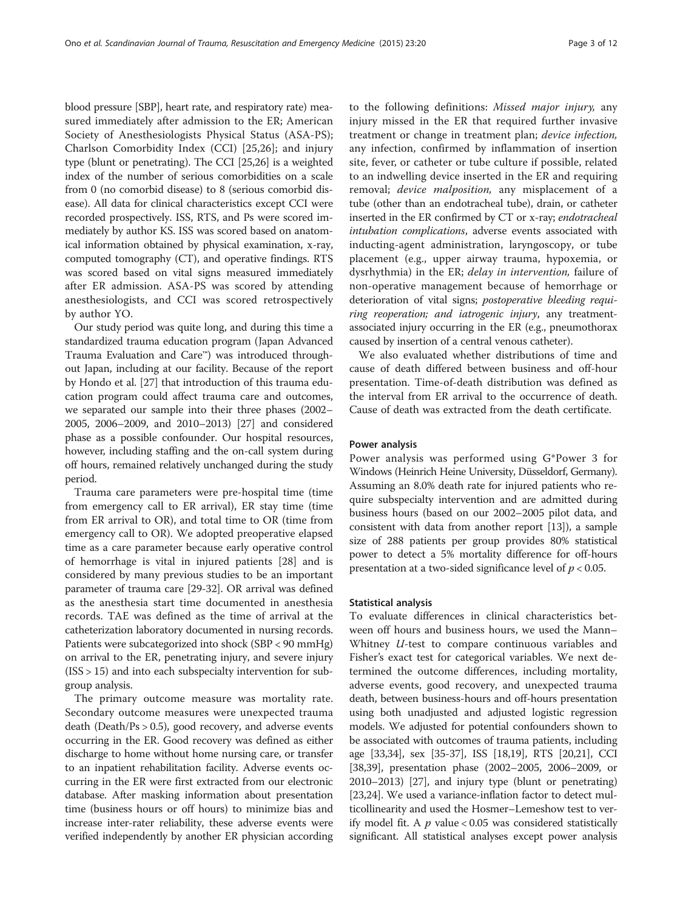blood pressure [SBP], heart rate, and respiratory rate) measured immediately after admission to the ER; American Society of Anesthesiologists Physical Status (ASA-PS); Charlson Comorbidity Index (CCI) [[25,26\]](#page-11-0); and injury type (blunt or penetrating). The CCI [[25,26\]](#page-11-0) is a weighted index of the number of serious comorbidities on a scale from 0 (no comorbid disease) to 8 (serious comorbid disease). All data for clinical characteristics except CCI were recorded prospectively. ISS, RTS, and Ps were scored immediately by author KS. ISS was scored based on anatomical information obtained by physical examination, x-ray, computed tomography (CT), and operative findings. RTS was scored based on vital signs measured immediately after ER admission. ASA-PS was scored by attending anesthesiologists, and CCI was scored retrospectively by author YO.

Our study period was quite long, and during this time a standardized trauma education program (Japan Advanced Trauma Evaluation and Care™) was introduced throughout Japan, including at our facility. Because of the report by Hondo et al. [\[27\]](#page-11-0) that introduction of this trauma education program could affect trauma care and outcomes, we separated our sample into their three phases (2002– 2005, 2006–2009, and 2010–2013) [[27](#page-11-0)] and considered phase as a possible confounder. Our hospital resources, however, including staffing and the on-call system during off hours, remained relatively unchanged during the study period.

Trauma care parameters were pre-hospital time (time from emergency call to ER arrival), ER stay time (time from ER arrival to OR), and total time to OR (time from emergency call to OR). We adopted preoperative elapsed time as a care parameter because early operative control of hemorrhage is vital in injured patients [[28\]](#page-11-0) and is considered by many previous studies to be an important parameter of trauma care [\[29](#page-11-0)-[32](#page-11-0)]. OR arrival was defined as the anesthesia start time documented in anesthesia records. TAE was defined as the time of arrival at the catheterization laboratory documented in nursing records. Patients were subcategorized into shock (SBP < 90 mmHg) on arrival to the ER, penetrating injury, and severe injury (ISS > 15) and into each subspecialty intervention for subgroup analysis.

The primary outcome measure was mortality rate. Secondary outcome measures were unexpected trauma death (Death/Ps > 0.5), good recovery, and adverse events occurring in the ER. Good recovery was defined as either discharge to home without home nursing care, or transfer to an inpatient rehabilitation facility. Adverse events occurring in the ER were first extracted from our electronic database. After masking information about presentation time (business hours or off hours) to minimize bias and increase inter-rater reliability, these adverse events were verified independently by another ER physician according

to the following definitions: Missed major injury, any injury missed in the ER that required further invasive treatment or change in treatment plan; device infection, any infection, confirmed by inflammation of insertion site, fever, or catheter or tube culture if possible, related to an indwelling device inserted in the ER and requiring removal; *device malposition*, any misplacement of a tube (other than an endotracheal tube), drain, or catheter inserted in the ER confirmed by CT or x-ray; endotracheal intubation complications, adverse events associated with inducting-agent administration, laryngoscopy, or tube placement (e.g., upper airway trauma, hypoxemia, or dysrhythmia) in the ER; *delay in intervention*, failure of non-operative management because of hemorrhage or deterioration of vital signs; postoperative bleeding requiring reoperation; and iatrogenic injury, any treatmentassociated injury occurring in the ER (e.g., pneumothorax caused by insertion of a central venous catheter).

We also evaluated whether distributions of time and cause of death differed between business and off-hour presentation. Time-of-death distribution was defined as the interval from ER arrival to the occurrence of death. Cause of death was extracted from the death certificate.

#### Power analysis

Power analysis was performed using G\*Power 3 for Windows (Heinrich Heine University, Düsseldorf, Germany). Assuming an 8.0% death rate for injured patients who require subspecialty intervention and are admitted during business hours (based on our 2002–2005 pilot data, and consistent with data from another report [[13](#page-11-0)]), a sample size of 288 patients per group provides 80% statistical power to detect a 5% mortality difference for off-hours presentation at a two-sided significance level of  $p < 0.05$ .

#### Statistical analysis

To evaluate differences in clinical characteristics between off hours and business hours, we used the Mann– Whitney *U*-test to compare continuous variables and Fisher's exact test for categorical variables. We next determined the outcome differences, including mortality, adverse events, good recovery, and unexpected trauma death, between business-hours and off-hours presentation using both unadjusted and adjusted logistic regression models. We adjusted for potential confounders shown to be associated with outcomes of trauma patients, including age [\[33,34\]](#page-11-0), sex [\[35-37\]](#page-11-0), ISS [\[18,19\]](#page-11-0), RTS [[20,21\]](#page-11-0), CCI [[38](#page-11-0),[39](#page-11-0)], presentation phase (2002–2005, 2006–2009, or 2010–2013) [[27](#page-11-0)], and injury type (blunt or penetrating) [[23](#page-11-0),[24](#page-11-0)]. We used a variance-inflation factor to detect multicollinearity and used the Hosmer–Lemeshow test to verify model fit. A  $p$  value < 0.05 was considered statistically significant. All statistical analyses except power analysis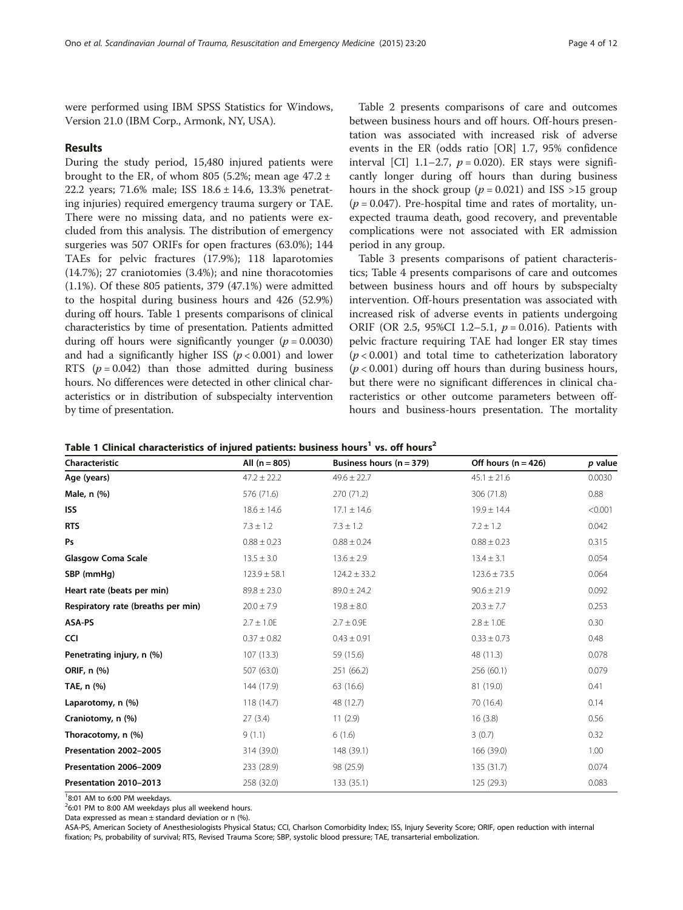were performed using IBM SPSS Statistics for Windows, Version 21.0 (IBM Corp., Armonk, NY, USA).

# Results

During the study period, 15,480 injured patients were brought to the ER, of whom 805 (5.2%; mean age 47.2  $\pm$ 22.2 years; 71.6% male; ISS 18.6 ± 14.6, 13.3% penetrating injuries) required emergency trauma surgery or TAE. There were no missing data, and no patients were excluded from this analysis. The distribution of emergency surgeries was 507 ORIFs for open fractures (63.0%); 144 TAEs for pelvic fractures (17.9%); 118 laparotomies (14.7%); 27 craniotomies (3.4%); and nine thoracotomies (1.1%). Of these 805 patients, 379 (47.1%) were admitted to the hospital during business hours and 426 (52.9%) during off hours. Table 1 presents comparisons of clinical characteristics by time of presentation. Patients admitted during off hours were significantly younger ( $p = 0.0030$ ) and had a significantly higher ISS ( $p < 0.001$ ) and lower RTS  $(p = 0.042)$  than those admitted during business hours. No differences were detected in other clinical characteristics or in distribution of subspecialty intervention by time of presentation.

Table [2](#page-4-0) presents comparisons of care and outcomes between business hours and off hours. Off-hours presentation was associated with increased risk of adverse events in the ER (odds ratio [OR] 1.7, 95% confidence interval [CI] 1.1–2.7,  $p = 0.020$ ). ER stays were significantly longer during off hours than during business hours in the shock group ( $p = 0.021$ ) and ISS >15 group  $(p = 0.047)$ . Pre-hospital time and rates of mortality, unexpected trauma death, good recovery, and preventable complications were not associated with ER admission period in any group.

Table [3](#page-5-0) presents comparisons of patient characteristics; Table [4](#page-6-0) presents comparisons of care and outcomes between business hours and off hours by subspecialty intervention. Off-hours presentation was associated with increased risk of adverse events in patients undergoing ORIF (OR 2.5, 95%CI 1.2-5.1,  $p = 0.016$ ). Patients with pelvic fracture requiring TAE had longer ER stay times  $(p < 0.001)$  and total time to catheterization laboratory  $(p < 0.001)$  during off hours than during business hours, but there were no significant differences in clinical characteristics or other outcome parameters between offhours and business-hours presentation. The mortality

Table 1 Clinical characteristics of injured patients: business hours<sup>1</sup> vs. off hours<sup>2</sup>

| Characteristic                     | All $(n = 805)$  | Business hours $(n = 379)$ | Off hours ( $n = 426$ ) | p value |
|------------------------------------|------------------|----------------------------|-------------------------|---------|
| Age (years)                        | $47.2 \pm 22.2$  | $49.6 \pm 22.7$            | $45.1 \pm 21.6$         | 0.0030  |
| Male, n (%)                        | 576 (71.6)       | 270 (71.2)                 | 306 (71.8)              | 0.88    |
| <b>ISS</b>                         | $18.6 \pm 14.6$  | $17.1 \pm 14.6$            | $19.9 \pm 14.4$         | < 0.001 |
| <b>RTS</b>                         | $7.3 \pm 1.2$    | $7.3 \pm 1.2$              | $7.2 \pm 1.2$           | 0.042   |
| Ps                                 | $0.88 \pm 0.23$  | $0.88 \pm 0.24$            | $0.88 \pm 0.23$         | 0.315   |
| <b>Glasgow Coma Scale</b>          | $13.5 \pm 3.0$   | $13.6 \pm 2.9$             | $13.4 \pm 3.1$          | 0.054   |
| SBP (mmHg)                         | $123.9 \pm 58.1$ | $124.2 \pm 33.2$           | $123.6 \pm 73.5$        | 0.064   |
| Heart rate (beats per min)         | $89.8 \pm 23.0$  | $89.0 \pm 24.2$            | $90.6 \pm 21.9$         | 0.092   |
| Respiratory rate (breaths per min) | $20.0 \pm 7.9$   | $19.8 \pm 8.0$             | $20.3 \pm 7.7$          | 0.253   |
| ASA-PS                             | $2.7 \pm 1.0E$   | $2.7 \pm 0.9E$             | $2.8 \pm 1.0E$          | 0.30    |
| <b>CCI</b>                         | $0.37 \pm 0.82$  | $0.43 \pm 0.91$            | $0.33 \pm 0.73$         | 0.48    |
| Penetrating injury, n (%)          | 107(13.3)        | 59 (15.6)                  | 48 (11.3)               | 0.078   |
| ORIF, n (%)                        | 507 (63.0)       | 251 (66.2)                 | 256 (60.1)              | 0.079   |
| TAE, n (%)                         | 144 (17.9)       | 63 (16.6)                  | 81 (19.0)               | 0.41    |
| Laparotomy, n (%)                  | 118 (14.7)       | 48 (12.7)                  | 70 (16.4)               | 0.14    |
| Craniotomy, n (%)                  | 27(3.4)          | 11(2.9)                    | 16(3.8)                 | 0.56    |
| Thoracotomy, n (%)                 | 9(1.1)           | 6(1.6)                     | 3(0.7)                  | 0.32    |
| Presentation 2002-2005             | 314 (39.0)       | 148 (39.1)                 | 166 (39.0)              | 1.00    |
| Presentation 2006-2009             | 233 (28.9)       | 98 (25.9)                  | 135 (31.7)              | 0.074   |
| Presentation 2010-2013             | 258 (32.0)       | 133(35.1)                  | 125(29.3)               | 0.083   |
|                                    |                  |                            |                         |         |

<sup>1</sup>8:01 AM to 6:00 PM weekdays.

<sup>2</sup>6:01 PM to 8:00 AM weekdays plus all weekend hours.

Data expressed as mean ± standard deviation or n (%).

ASA-PS, American Society of Anesthesiologists Physical Status; CCI, Charlson Comorbidity Index; ISS, Injury Severity Score; ORIF, open reduction with internal fixation; Ps, probability of survival; RTS, Revised Trauma Score; SBP, systolic blood pressure; TAE, transarterial embolization.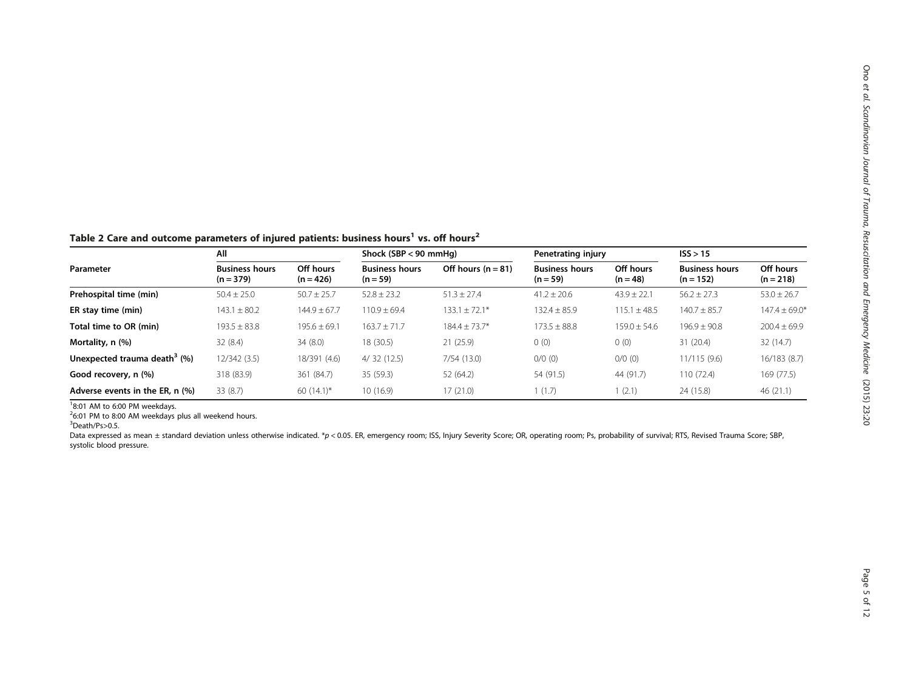<span id="page-4-0"></span>Table 2 Care and outcome parameters of injured patients: business hours<sup>1</sup> vs. off hours<sup>2</sup>

|                                          | All                                  |                          |                                     | Shock (SBP < 90 mmHa) |                                     | Penetrating injury      |                                      | ISS > 15                 |  |
|------------------------------------------|--------------------------------------|--------------------------|-------------------------------------|-----------------------|-------------------------------------|-------------------------|--------------------------------------|--------------------------|--|
| Parameter                                | <b>Business hours</b><br>$(n = 379)$ | Off hours<br>$(n = 426)$ | <b>Business hours</b><br>$(n = 59)$ | Off hours $(n = 81)$  | <b>Business hours</b><br>$(n = 59)$ | Off hours<br>$(n = 48)$ | <b>Business hours</b><br>$(n = 152)$ | Off hours<br>$(n = 218)$ |  |
| Prehospital time (min)                   | $50.4 \pm 25.0$                      | $50.7 \pm 25.7$          | $52.8 \pm 23.2$                     | $51.3 \pm 27.4$       | $41.2 \pm 20.6$                     | $43.9 \pm 22.1$         | $56.2 \pm 27.3$                      | $53.0 \pm 26.7$          |  |
| ER stay time (min)                       | $143.1 \pm 80.2$                     | $144.9 \pm 67.7$         | $110.9 \pm 69.4$                    | $133.1 \pm 72.1*$     | $132.4 \pm 85.9$                    | $115.1 \pm 48.5$        | $140.7 \pm 85.7$                     | $147.4 \pm 69.0*$        |  |
| Total time to OR (min)                   | $193.5 \pm 83.8$                     | $195.6 \pm 69.1$         | $163.7 \pm 71.7$                    | $184.4 \pm 73.7*$     | $173.5 \pm 88.8$                    | $159.0 \pm 54.6$        | $196.9 \pm 90.8$                     | $200.4 \pm 69.9$         |  |
| Mortality, n (%)                         | 32(8.4)                              | 34(8.0)                  | 18 (30.5)                           | 21(25.9)              | 0(0)                                | 0(0)                    | 31(20.4)                             | 32(14.7)                 |  |
| Unexpected trauma death <sup>3</sup> (%) | 12/342(3.5)                          | 18/391 (4.6)             | 4/32(12.5)                          | 7/54(13.0)            | $0/0$ (0)                           | $0/0$ (0)               | 11/115(9.6)                          | 16/183 (8.7)             |  |
| Good recovery, n (%)                     | 318 (83.9)                           | 361 (84.7)               | 35 (59.3)                           | 52 (64.2)             | 54 (91.5)                           | 44 (91.7)               | 110(72.4)                            | 169 (77.5)               |  |
| Adverse events in the ER, n (%)          | 33(8.7)                              | $60(14.1)^{*}$           | 10(16.9)                            | 17(21.0)              | (1.7)                               | 1(2.1)                  | 24 (15.8)                            | 46(21.1)                 |  |

 $26:01$  PM to 8:00 AM weekdays plus all weekend hours.

3 Death/Ps>0.5.

Data expressed as mean ± standard deviation unless otherwise indicated. \*p < 0.05. ER, emergency room; ISS, Injury Severity Score; OR, operating room; Ps, probability of survival; RTS, Revised Trauma Score; SBP, systolic blood pressure.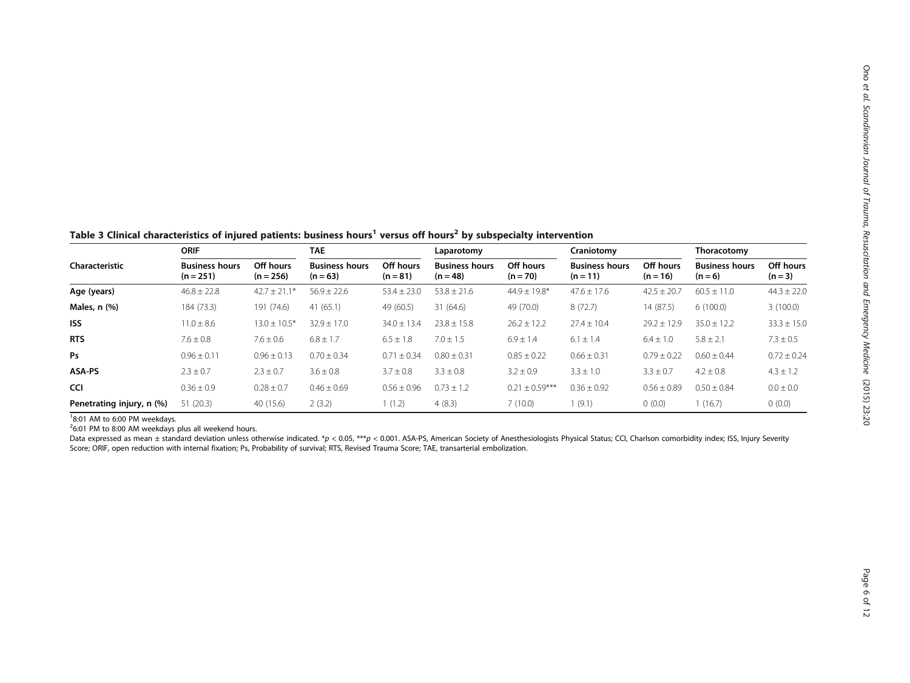<span id="page-5-0"></span>Table 3 Clinical characteristics of injured patients: business hours<sup>1</sup> versus off hours<sup>2</sup> by subspecialty intervention

|                           | <b>ORIF</b>                          |                          | <b>TAE</b>                          |                         | Laparotomy                          |                         | Craniotomy                          |                         | Thoracotomy                        |                        |
|---------------------------|--------------------------------------|--------------------------|-------------------------------------|-------------------------|-------------------------------------|-------------------------|-------------------------------------|-------------------------|------------------------------------|------------------------|
| Characteristic            | <b>Business hours</b><br>$(n = 251)$ | Off hours<br>$(n = 256)$ | <b>Business hours</b><br>$(n = 63)$ | Off hours<br>$(n = 81)$ | <b>Business hours</b><br>$(n = 48)$ | Off hours<br>$(n = 70)$ | <b>Business hours</b><br>$(n = 11)$ | Off hours<br>$(n = 16)$ | <b>Business hours</b><br>$(n = 6)$ | Off hours<br>$(n = 3)$ |
| Age (years)               | $46.8 \pm 22.8$                      | $42.7 \pm 21.1*$         | $56.9 \pm 22.6$                     | $53.4 \pm 23.0$         | $53.8 \pm 21.6$                     | $44.9 \pm 19.8^*$       | $47.6 \pm 17.6$                     | $42.5 \pm 20.7$         | $60.5 \pm 11.0$                    | $44.3 \pm 22.0$        |
| Males, n (%)              | 184 (73.3)                           | 191 (74.6)               | 41(65.1)                            | 49 (60.5)               | 31 (64.6)                           | 49 (70.0)               | 8(72.7)                             | 14(87.5)                | 6(100.0)                           | 3(100.0)               |
| <b>ISS</b>                | $11.0 \pm 8.6$                       | $13.0 \pm 10.5^*$        | $32.9 \pm 17.0$                     | $34.0 \pm 13.4$         | $23.8 \pm 15.8$                     | $26.2 \pm 12.2$         | $27.4 \pm 10.4$                     | $29.2 \pm 12.9$         | $35.0 \pm 12.2$                    | $33.3 \pm 15.0$        |
| <b>RTS</b>                | $7.6 \pm 0.8$                        | $7.6 \pm 0.6$            | $6.8 \pm 1.7$                       | $6.5 \pm 1.8$           | $7.0 \pm 1.5$                       | $6.9 \pm 1.4$           | $6.1 \pm 1.4$                       | $6.4 \pm 1.0$           | $5.8 \pm 2.1$                      | $7.3 \pm 0.5$          |
| Ps                        | $0.96 \pm 0.11$                      | $0.96 \pm 0.13$          | $0.70 \pm 0.34$                     | $0.71 + 0.34$           | $0.80 \pm 0.31$                     | $0.85 \pm 0.22$         | $0.66 \pm 0.31$                     | $0.79 \pm 0.22$         | $0.60 \pm 0.44$                    | $0.72 \pm 0.24$        |
| ASA-PS                    | $2.3 \pm 0.7$                        | $2.3 \pm 0.7$            | $3.6 \pm 0.8$                       | $3.7 \pm 0.8$           | $3.3 \pm 0.8$                       | $3.2 \pm 0.9$           | $3.3 \pm 1.0$                       | $3.3 \pm 0.7$           | $4.2 \pm 0.8$                      | $4.3 \pm 1.2$          |
| CCI                       | $0.36 \pm 0.9$                       | $0.28 \pm 0.7$           | $0.46 \pm 0.69$                     | $0.56 \pm 0.96$         | $0.73 \pm 1.2$                      | $0.21 \pm 0.59***$      | $0.36 \pm 0.92$                     | $0.56 + 0.89$           | $0.50 \pm 0.84$                    | $0.0 \pm 0.0$          |
| Penetrating injury, n (%) | 51(20.3)                             | 40 (15.6)                | 2(3.2)                              | 1(1.2)                  | 4(8.3)                              | 7(10.0)                 | 1(9.1)                              | 0(0.0)                  | 1(16.7)                            | 0(0.0)                 |

 $26:01$  PM to 8:00 AM weekdays plus all weekend hours.

Data expressed as mean ± standard deviation unless otherwise indicated. \*p < 0.05, \*\*\*p < 0.001. ASA-PS, American Society of Anesthesiologists Physical Status; CCI, Charlson comorbidity index; ISS, Injury Severity Score; ORIF, open reduction with internal fixation; Ps, Probability of survival; RTS, Revised Trauma Score; TAE, transarterial embolization.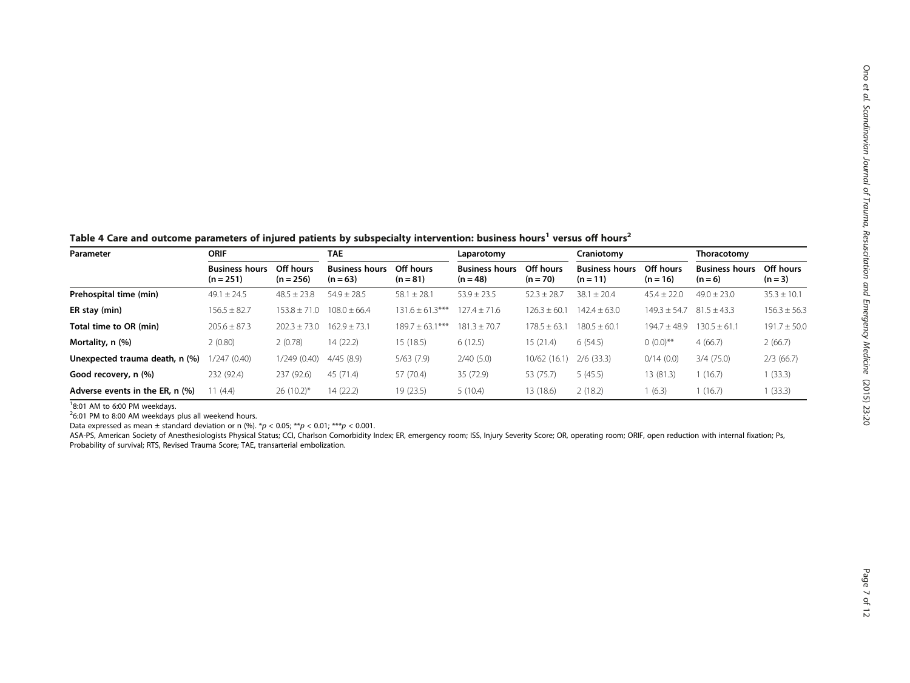<span id="page-6-0"></span>Table 4 Care and outcome parameters of injured patients by subspecialty intervention: business hours<sup>1</sup> versus off hours<sup>2</sup>

| Parameter                       | <b>ORIF</b>                          |                          | <b>TAE</b>                          |                         | Laparotomy                          |                         | Craniotomy                          |                         | Thoracotomy                        |                        |
|---------------------------------|--------------------------------------|--------------------------|-------------------------------------|-------------------------|-------------------------------------|-------------------------|-------------------------------------|-------------------------|------------------------------------|------------------------|
|                                 | <b>Business hours</b><br>$(n = 251)$ | Off hours<br>$(n = 256)$ | <b>Business hours</b><br>$(n = 63)$ | Off hours<br>$(n = 81)$ | <b>Business hours</b><br>$(n = 48)$ | Off hours<br>$(n = 70)$ | <b>Business hours</b><br>$(n = 11)$ | Off hours<br>$(n = 16)$ | <b>Business hours</b><br>$(n = 6)$ | Off hours<br>$(n = 3)$ |
| Prehospital time (min)          | $49.1 \pm 24.5$                      | $48.5 \pm 23.8$          | $54.9 \pm 28.5$                     | $58.1 \pm 28.1$         | $53.9 \pm 23.5$                     | $52.3 \pm 28.7$         | $38.1 \pm 20.4$                     | $45.4 \pm 22.0$         | $49.0 \pm 23.0$                    | $35.3 \pm 10.1$        |
| ER stay (min)                   | $156.5 \pm 82.7$                     | $153.8 \pm 71.0$         | $108.0 \pm 66.4$                    | $131.6 \pm 61.3***$     | $127.4 \pm 71.6$                    | $126.3 \pm 60.$         | $142.4 \pm 63.0$                    | $149.3 \pm 54.7$        | $81.5 \pm 43.3$                    | $156.3 \pm 56.3$       |
| Total time to OR (min)          | $205.6 \pm 87.3$                     | $202.3 \pm 73.0$         | $162.9 \pm 73.1$                    | $189.7 \pm 63.1$        | $181.3 \pm 70.7$                    | $178.5 \pm 63.$         | $180.5 \pm 60.1$                    | $194.7 \pm 48.9$        | $130.5 \pm 61.1$                   | $191.7 \pm 50.0$       |
| Mortality, n (%)                | 2(0.80)                              | 2(0.78)                  | 14(22.2)                            | 15 (18.5)               | 6(12.5)                             | 15 (21.4)               | 6(54.5)                             | $0(0.0)$ **             | 4(66.7)                            | 2(66.7)                |
| Unexpected trauma death, n (%)  | 1/247(0.40)                          | 1/249(0.40)              | 4/45(8.9)                           | 5/63(7.9)               | 2/40(5.0)                           | 10/62 (16.1             | $2/6$ (33.3)                        | 0/14(0.0)               | 3/4(75.0)                          | 2/3(66.7)              |
| Good recovery, n (%)            | 232 (92.4)                           | 237 (92.6)               | 45 (71.4)                           | 57 (70.4)               | 35 (72.9)                           | 53 (75.7)               | 5(45.5)                             | 13 (81.3)               | 1(16.7)                            | (33.3)                 |
| Adverse events in the ER, n (%) | 1(4.4)                               | $26(10.2)^{*}$           | 14(22.2)                            | 19 (23.5)               | 5(10.4)                             | 13 (18.6)               | 2(18.2)                             | (6.3)                   | 1(16.7)                            | (33.3)                 |

 $26:01$  PM to 8:00 AM weekdays plus all weekend hours.

Data expressed as mean  $\pm$  standard deviation or n (%). \*p < 0.05; \*\*p < 0.01; \*\*\*p < 0.001.

ASA-PS, American Society of Anesthesiologists Physical Status; CCI, Charlson Comorbidity Index; ER, emergency room; ISS, Injury Severity Score; OR, operating room; ORIF, open reduction with internal fixation; Ps, Probability of survival; RTS, Revised Trauma Score; TAE, transarterial embolization.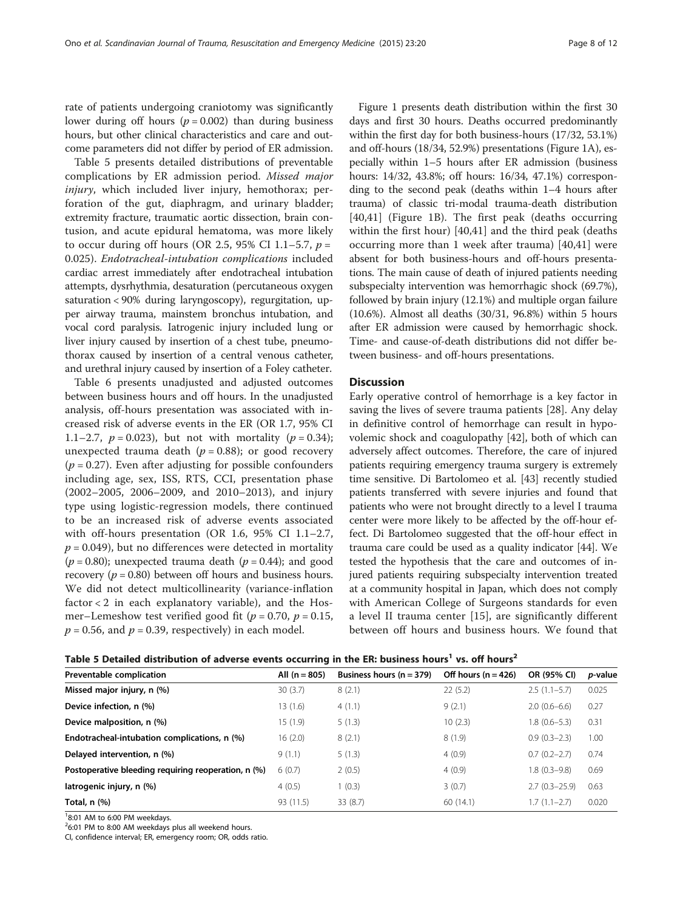rate of patients undergoing craniotomy was significantly lower during off hours ( $p = 0.002$ ) than during business hours, but other clinical characteristics and care and outcome parameters did not differ by period of ER admission.

Table 5 presents detailed distributions of preventable complications by ER admission period. Missed major injury, which included liver injury, hemothorax; perforation of the gut, diaphragm, and urinary bladder; extremity fracture, traumatic aortic dissection, brain contusion, and acute epidural hematoma, was more likely to occur during off hours (OR 2.5, 95% CI 1.1–5.7,  $p =$ 0.025). Endotracheal-intubation complications included cardiac arrest immediately after endotracheal intubation attempts, dysrhythmia, desaturation (percutaneous oxygen saturation < 90% during laryngoscopy), regurgitation, upper airway trauma, mainstem bronchus intubation, and vocal cord paralysis. Iatrogenic injury included lung or liver injury caused by insertion of a chest tube, pneumothorax caused by insertion of a central venous catheter, and urethral injury caused by insertion of a Foley catheter.

Table [6](#page-8-0) presents unadjusted and adjusted outcomes between business hours and off hours. In the unadjusted analysis, off-hours presentation was associated with increased risk of adverse events in the ER (OR 1.7, 95% CI 1.1–2.7,  $p = 0.023$ ), but not with mortality ( $p = 0.34$ ); unexpected trauma death ( $p = 0.88$ ); or good recovery  $(p = 0.27)$ . Even after adjusting for possible confounders including age, sex, ISS, RTS, CCI, presentation phase (2002–2005, 2006–2009, and 2010–2013), and injury type using logistic-regression models, there continued to be an increased risk of adverse events associated with off-hours presentation (OR 1.6, 95% CI 1.1–2.7,  $p = 0.049$ ), but no differences were detected in mortality  $(p = 0.80)$ ; unexpected trauma death  $(p = 0.44)$ ; and good recovery ( $p = 0.80$ ) between off hours and business hours. We did not detect multicollinearity (variance-inflation factor  $< 2$  in each explanatory variable), and the Hosmer–Lemeshow test verified good fit ( $p = 0.70$ ,  $p = 0.15$ ,  $p = 0.56$ , and  $p = 0.39$ , respectively) in each model.

Figure [1](#page-8-0) presents death distribution within the first 30 days and first 30 hours. Deaths occurred predominantly within the first day for both business-hours (17/32, 53.1%) and off-hours (18/34, 52.9%) presentations (Figure [1](#page-8-0)A), especially within 1–5 hours after ER admission (business hours: 14/32, 43.8%; off hours: 16/34, 47.1%) corresponding to the second peak (deaths within 1–4 hours after trauma) of classic tri-modal trauma-death distribution [[40,41](#page-11-0)] (Figure [1B](#page-8-0)). The first peak (deaths occurring within the first hour) [[40](#page-11-0),[41\]](#page-11-0) and the third peak (deaths occurring more than 1 week after trauma) [[40,41](#page-11-0)] were absent for both business-hours and off-hours presentations. The main cause of death of injured patients needing subspecialty intervention was hemorrhagic shock (69.7%), followed by brain injury (12.1%) and multiple organ failure (10.6%). Almost all deaths (30/31, 96.8%) within 5 hours after ER admission were caused by hemorrhagic shock. Time- and cause-of-death distributions did not differ between business- and off-hours presentations.

#### **Discussion**

Early operative control of hemorrhage is a key factor in saving the lives of severe trauma patients [[28](#page-11-0)]. Any delay in definitive control of hemorrhage can result in hypovolemic shock and coagulopathy [\[42\]](#page-11-0), both of which can adversely affect outcomes. Therefore, the care of injured patients requiring emergency trauma surgery is extremely time sensitive. Di Bartolomeo et al. [\[43\]](#page-11-0) recently studied patients transferred with severe injuries and found that patients who were not brought directly to a level I trauma center were more likely to be affected by the off-hour effect. Di Bartolomeo suggested that the off-hour effect in trauma care could be used as a quality indicator [\[44](#page-11-0)]. We tested the hypothesis that the care and outcomes of injured patients requiring subspecialty intervention treated at a community hospital in Japan, which does not comply with American College of Surgeons standards for even a level II trauma center [\[15](#page-11-0)], are significantly different between off hours and business hours. We found that

| Table 5 Detailed distribution of adverse events occurring in the ER: business hours <sup>1</sup> vs. off hours <sup>2</sup> |  |
|-----------------------------------------------------------------------------------------------------------------------------|--|
|-----------------------------------------------------------------------------------------------------------------------------|--|

| Preventable complication                            | All $(n = 805)$ | Business hours $(n = 379)$ | Off hours $(n = 426)$ | OR (95% CI)      | <i>p</i> -value |
|-----------------------------------------------------|-----------------|----------------------------|-----------------------|------------------|-----------------|
| Missed major injury, n (%)                          | 30(3.7)         | 8(2.1)                     | 22(5.2)               | $2.5(1.1-5.7)$   | 0.025           |
| Device infection, n (%)                             | 13 (1.6)        | 4(1.1)                     | 9(2.1)                | $2.0(0.6-6.6)$   | 0.27            |
| Device malposition, n (%)                           | 15 (1.9)        | 5(1.3)                     | 10(2.3)               | $1.8(0.6 - 5.3)$ | 0.31            |
| Endotracheal-intubation complications, n (%)        | 16(2.0)         | 8(2.1)                     | 8(1.9)                | $0.9(0.3-2.3)$   | 1.00            |
| Delayed intervention, n (%)                         | 9(1.1)          | 5(1.3)                     | 4(0.9)                | $0.7(0.2 - 2.7)$ | 0.74            |
| Postoperative bleeding requiring reoperation, n (%) | 6(0.7)          | 2(0.5)                     | 4(0.9)                | $1.8(0.3-9.8)$   | 0.69            |
| latrogenic injury, n (%)                            | 4(0.5)          | 1(0.3)                     | 3(0.7)                | $2.7(0.3-25.9)$  | 0.63            |
| Total, $n$ $(\%)$                                   | 93 (11.5)       | 33(8.7)                    | 60(14.1)              | $1.7(1.1-2.7)$   | 0.020           |
|                                                     |                 |                            |                       |                  |                 |

18:01 AM to 6:00 PM weekdays.

 $26:01$  PM to 8:00 AM weekdays plus all weekend hours.

CI, confidence interval; ER, emergency room; OR, odds ratio.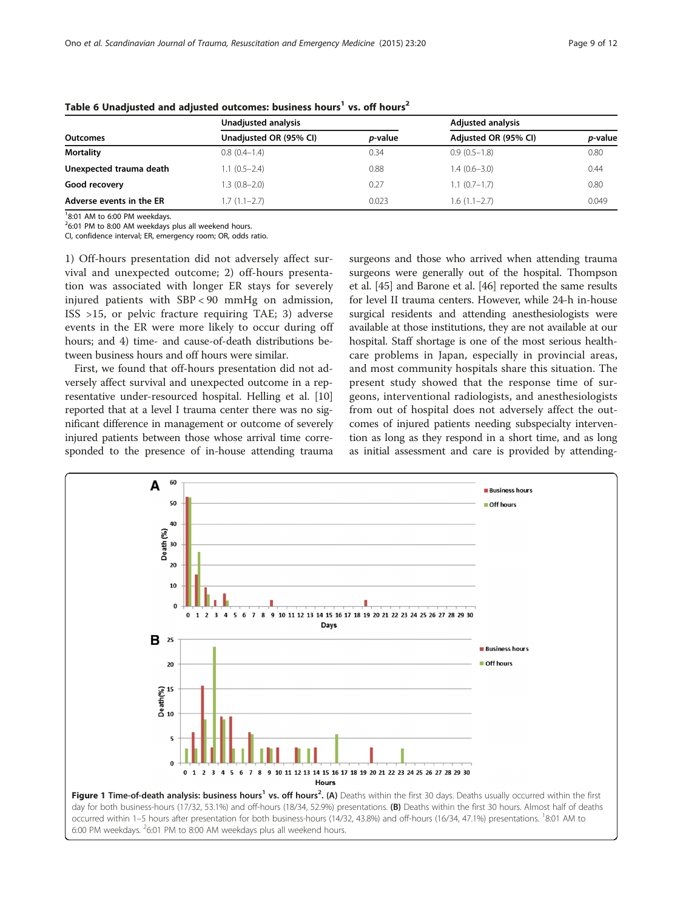| <b>Outcomes</b>          | Unadjusted analysis    |                 | <b>Adjusted analysis</b> |                 |  |
|--------------------------|------------------------|-----------------|--------------------------|-----------------|--|
|                          | Unadjusted OR (95% CI) | <i>p</i> -value | Adjusted OR (95% CI)     | <i>p</i> -value |  |
| <b>Mortality</b>         | $0.8(0.4-1.4)$         | 0.34            | $0.9(0.5-1.8)$           | 0.80            |  |
| Unexpected trauma death  | $1.1(0.5-2.4)$         | 0.88            | $1.4(0.6-3.0)$           | 0.44            |  |
| Good recovery            | 1.3 (0.8–2.0)          | 0.27            | $1.1(0.7-1.7)$           | 0.80            |  |
| Adverse events in the ER | $1.7(1.1-2.7)$         | 0.023           | $1.6(1.1-2.7)$           | 0.049           |  |

<span id="page-8-0"></span>Table 6 Unadjusted and adjusted outcomes: business hours<sup>1</sup> vs. off hours<sup>2</sup>

 $26:01$  PM to 8:00 AM weekdays plus all weekend hours.

CI, confidence interval; ER, emergency room; OR, odds ratio.

1) Off-hours presentation did not adversely affect survival and unexpected outcome; 2) off-hours presentation was associated with longer ER stays for severely injured patients with SBP < 90 mmHg on admission, ISS >15, or pelvic fracture requiring TAE; 3) adverse events in the ER were more likely to occur during off hours; and 4) time- and cause-of-death distributions between business hours and off hours were similar.

First, we found that off-hours presentation did not adversely affect survival and unexpected outcome in a representative under-resourced hospital. Helling et al. [[10](#page-10-0)] reported that at a level I trauma center there was no significant difference in management or outcome of severely injured patients between those whose arrival time corresponded to the presence of in-house attending trauma

surgeons and those who arrived when attending trauma surgeons were generally out of the hospital. Thompson et al. [\[45\]](#page-11-0) and Barone et al. [\[46](#page-11-0)] reported the same results for level II trauma centers. However, while 24-h in-house surgical residents and attending anesthesiologists were available at those institutions, they are not available at our hospital. Staff shortage is one of the most serious healthcare problems in Japan, especially in provincial areas, and most community hospitals share this situation. The present study showed that the response time of surgeons, interventional radiologists, and anesthesiologists from out of hospital does not adversely affect the outcomes of injured patients needing subspecialty intervention as long as they respond in a short time, and as long as initial assessment and care is provided by attending-

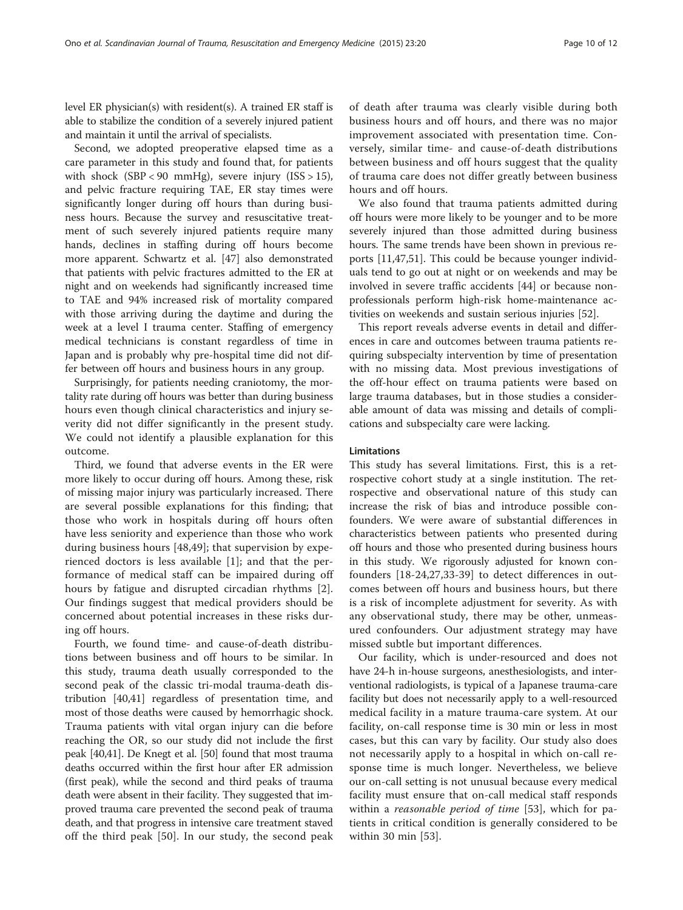level ER physician(s) with resident(s). A trained ER staff is able to stabilize the condition of a severely injured patient and maintain it until the arrival of specialists.

Second, we adopted preoperative elapsed time as a care parameter in this study and found that, for patients with shock  $(SBP < 90 \text{ mmHg})$ , severe injury  $(ISS > 15)$ , and pelvic fracture requiring TAE, ER stay times were significantly longer during off hours than during business hours. Because the survey and resuscitative treatment of such severely injured patients require many hands, declines in staffing during off hours become more apparent. Schwartz et al. [\[47](#page-11-0)] also demonstrated that patients with pelvic fractures admitted to the ER at night and on weekends had significantly increased time to TAE and 94% increased risk of mortality compared with those arriving during the daytime and during the week at a level I trauma center. Staffing of emergency medical technicians is constant regardless of time in Japan and is probably why pre-hospital time did not differ between off hours and business hours in any group.

Surprisingly, for patients needing craniotomy, the mortality rate during off hours was better than during business hours even though clinical characteristics and injury severity did not differ significantly in the present study. We could not identify a plausible explanation for this outcome.

Third, we found that adverse events in the ER were more likely to occur during off hours. Among these, risk of missing major injury was particularly increased. There are several possible explanations for this finding; that those who work in hospitals during off hours often have less seniority and experience than those who work during business hours [[48,49\]](#page-11-0); that supervision by experienced doctors is less available [[1\]](#page-10-0); and that the performance of medical staff can be impaired during off hours by fatigue and disrupted circadian rhythms [[2](#page-10-0)]. Our findings suggest that medical providers should be concerned about potential increases in these risks during off hours.

Fourth, we found time- and cause-of-death distributions between business and off hours to be similar. In this study, trauma death usually corresponded to the second peak of the classic tri-modal trauma-death distribution [[40,41\]](#page-11-0) regardless of presentation time, and most of those deaths were caused by hemorrhagic shock. Trauma patients with vital organ injury can die before reaching the OR, so our study did not include the first peak [\[40,41\]](#page-11-0). De Knegt et al. [[50](#page-11-0)] found that most trauma deaths occurred within the first hour after ER admission (first peak), while the second and third peaks of trauma death were absent in their facility. They suggested that improved trauma care prevented the second peak of trauma death, and that progress in intensive care treatment staved off the third peak [[50\]](#page-11-0). In our study, the second peak

of death after trauma was clearly visible during both business hours and off hours, and there was no major improvement associated with presentation time. Conversely, similar time- and cause-of-death distributions between business and off hours suggest that the quality of trauma care does not differ greatly between business hours and off hours.

We also found that trauma patients admitted during off hours were more likely to be younger and to be more severely injured than those admitted during business hours. The same trends have been shown in previous reports [\[11](#page-10-0)[,47,51](#page-11-0)]. This could be because younger individuals tend to go out at night or on weekends and may be involved in severe traffic accidents [[44\]](#page-11-0) or because nonprofessionals perform high-risk home-maintenance activities on weekends and sustain serious injuries [\[52](#page-11-0)].

This report reveals adverse events in detail and differences in care and outcomes between trauma patients requiring subspecialty intervention by time of presentation with no missing data. Most previous investigations of the off-hour effect on trauma patients were based on large trauma databases, but in those studies a considerable amount of data was missing and details of complications and subspecialty care were lacking.

#### Limitations

This study has several limitations. First, this is a retrospective cohort study at a single institution. The retrospective and observational nature of this study can increase the risk of bias and introduce possible confounders. We were aware of substantial differences in characteristics between patients who presented during off hours and those who presented during business hours in this study. We rigorously adjusted for known confounders [[18-24](#page-11-0),[27,33-39](#page-11-0)] to detect differences in outcomes between off hours and business hours, but there is a risk of incomplete adjustment for severity. As with any observational study, there may be other, unmeasured confounders. Our adjustment strategy may have missed subtle but important differences.

Our facility, which is under-resourced and does not have 24-h in-house surgeons, anesthesiologists, and interventional radiologists, is typical of a Japanese trauma-care facility but does not necessarily apply to a well-resourced medical facility in a mature trauma-care system. At our facility, on-call response time is 30 min or less in most cases, but this can vary by facility. Our study also does not necessarily apply to a hospital in which on-call response time is much longer. Nevertheless, we believe our on-call setting is not unusual because every medical facility must ensure that on-call medical staff responds within a *reasonable period of time* [\[53](#page-11-0)], which for patients in critical condition is generally considered to be within 30 min [[53\]](#page-11-0).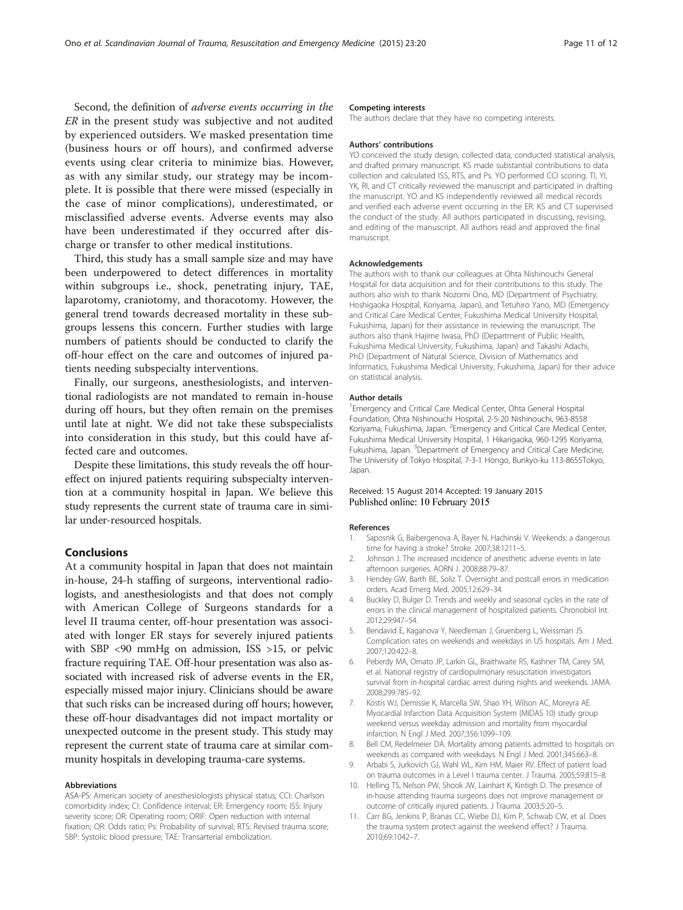<span id="page-10-0"></span>Second, the definition of adverse events occurring in the ER in the present study was subjective and not audited by experienced outsiders. We masked presentation time (business hours or off hours), and confirmed adverse events using clear criteria to minimize bias. However, as with any similar study, our strategy may be incomplete. It is possible that there were missed (especially in the case of minor complications), underestimated, or misclassified adverse events. Adverse events may also have been underestimated if they occurred after discharge or transfer to other medical institutions.

Third, this study has a small sample size and may have been underpowered to detect differences in mortality within subgroups i.e., shock, penetrating injury, TAE, laparotomy, craniotomy, and thoracotomy. However, the general trend towards decreased mortality in these subgroups lessens this concern. Further studies with large numbers of patients should be conducted to clarify the off-hour effect on the care and outcomes of injured patients needing subspecialty interventions.

Finally, our surgeons, anesthesiologists, and interventional radiologists are not mandated to remain in-house during off hours, but they often remain on the premises until late at night. We did not take these subspecialists into consideration in this study, but this could have affected care and outcomes.

Despite these limitations, this study reveals the off houreffect on injured patients requiring subspecialty intervention at a community hospital in Japan. We believe this study represents the current state of trauma care in similar under-resourced hospitals.

# Conclusions

At a community hospital in Japan that does not maintain in-house, 24-h staffing of surgeons, interventional radiologists, and anesthesiologists and that does not comply with American College of Surgeons standards for a level II trauma center, off-hour presentation was associated with longer ER stays for severely injured patients with SBP <90 mmHg on admission, ISS >15, or pelvic fracture requiring TAE. Off-hour presentation was also associated with increased risk of adverse events in the ER, especially missed major injury. Clinicians should be aware that such risks can be increased during off hours; however, these off-hour disadvantages did not impact mortality or unexpected outcome in the present study. This study may represent the current state of trauma care at similar community hospitals in developing trauma-care systems.

#### Abbreviations

ASA-PS: American society of anesthesiologists physical status; CCI: Charlson comorbidity index; CI: Confidence interval; ER: Emergency room; ISS: Injury severity score; OR: Operating room; ORIF: Open reduction with internal fixation; OR: Odds ratio; Ps: Probability of survival; RTS: Revised trauma score; SBP: Systolic blood pressure; TAE: Transarterial embolization.

#### Competing interests

The authors declare that they have no competing interests.

#### Authors' contributions

YO conceived the study design, collected data, conducted statistical analysis, and drafted primary manuscript. KS made substantial contributions to data collection and calculated ISS, RTS, and Ps. YO performed CCI scoring. TI, YI, YK, RI, and CT critically reviewed the manuscript and participated in drafting the manuscript. YO and KS independently reviewed all medical records and verified each adverse event occurring in the ER. KS and CT supervised the conduct of the study. All authors participated in discussing, revising, and editing of the manuscript. All authors read and approved the final manuscript.

#### Acknowledgements

The authors wish to thank our colleagues at Ohta Nishinouchi General Hospital for data acquisition and for their contributions to this study. The authors also wish to thank Nozomi Ono, MD (Department of Psychiatry, Hoshigaoka Hospital, Koriyama, Japan), and Tetuhiro Yano, MD (Emergency and Critical Care Medical Center, Fukushima Medical University Hospital, Fukushima, Japan) for their assistance in reviewing the manuscript. The authors also thank Hajime Iwasa, PhD (Department of Public Health, Fukushima Medical University, Fukushima, Japan) and Takashi Adachi, PhD (Department of Natural Science, Division of Mathematics and Informatics, Fukushima Medical University, Fukushima, Japan) for their advice on statistical analysis.

#### Author details

<sup>1</sup> Emergency and Critical Care Medical Center, Ohta General Hospital Foundation, Ohta Nishinouchi Hospital, 2-5-20 Nishinouchi, 963-8558 Koriyama, Fukushima, Japan. <sup>2</sup>Emergency and Critical Care Medical Center Fukushima Medical University Hospital, 1 Hikarigaoka, 960-1295 Koriyama, Fukushima, Japan. <sup>3</sup>Department of Emergency and Critical Care Medicine, The University of Tokyo Hospital, 7-3-1 Hongo, Bunkyo-ku 113-8655Tokyo, Japan.

#### Received: 15 August 2014 Accepted: 19 January 2015 Published online: 10 February 2015

#### References

- 1. Saposnik G, Baibergenova A, Bayer N, Hachinski V. Weekends: a dangerous time for having a stroke? Stroke. 2007;38:1211–5.
- 2. Johnson J. The increased incidence of anesthetic adverse events in late afternoon surgeries. AORN J. 2008;88:79–87.
- 3. Hendey GW, Barth BE, Soliz T. Overnight and postcall errors in medication orders. Acad Emerg Med. 2005;12:629–34.
- 4. Buckley D, Bulger D. Trends and weekly and seasonal cycles in the rate of errors in the clinical management of hospitalized patients. Chronobiol Int. 2012;29:947–54.
- 5. Bendavid E, Kaganova Y, Needleman J, Gruenberg L, Weissman JS. Complication rates on weekends and weekdays in US hospitals. Am J Med. 2007;120:422–8.
- 6. Peberdy MA, Ornato JP, Larkin GL, Braithwaite RS, Kashner TM, Carey SM, et al. National registry of cardiopulmonary resuscitation investigators survival from in-hospital cardiac arrest during nights and weekends. JAMA. 2008;299:785–92.
- 7. Kostis WJ, Demissie K, Marcella SW, Shao YH, Wilson AC, Moreyra AE. Myocardial Infarction Data Acquisition System (MIDAS 10) study group weekend versus weekday admission and mortality from myocardial infarction. N Engl J Med. 2007;356:1099–109.
- 8. Bell CM, Redelmeier DA. Mortality among patients admitted to hospitals on weekends as compared with weekdays. N Engl J Med. 2001;345:663–8.
- 9. Arbabi S, Jurkovich GJ, Wahl WL, Kim HM, Maier RV. Effect of patient load on trauma outcomes in a Level I trauma center. J Trauma. 2005;59:815–8.
- 10. Helling TS, Nelson PW, Shook JW, Lainhart K, Kintigh D. The presence of in-house attending trauma surgeons does not improve management or outcome of critically injured patients. J Trauma. 2003;5:20–5.
- 11. Carr BG, Jenkins P, Branas CC, Wiebe DJ, Kim P, Schwab CW, et al. Does the trauma system protect against the weekend effect? J Trauma. 2010;69:1042–7.